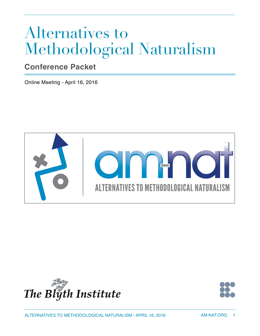# Alternatives to Methodological Naturalism

# **Conference Packet**

Online Meeting - April 16, 2016





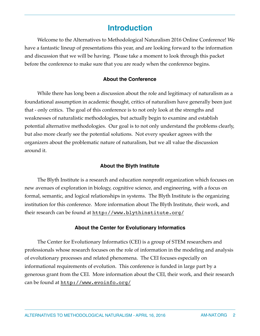# **Introduction**

Welcome to the Alternatives to Methodological Naturalism 2016 Online Conference! We have a fantastic lineup of presentations this year, and are looking forward to the information and discussion that we will be having. Please take a moment to look through this packet before the conference to make sure that you are ready when the conference begins.

#### **About the Conference**

While there has long been a discussion about the role and legitimacy of naturalism as a foundational assumption in academic thought, critics of naturalism have generally been just that - only critics. The goal of this conference is to not only look at the strengths and weaknesses of naturalistic methodologies, but actually begin to examine and establish potential alternative methodologies. Our goal is to not only understand the problems clearly, but also more clearly see the potential solutions. Not every speaker agrees with the organizers about the problematic nature of naturalism, but we all value the discussion around it.

#### **About the Blyth Institute**

The Blyth Institute is a research and education nonprofit organization which focuses on new avenues of exploration in biology, cognitive science, and engineering, with a focus on formal, semantic, and logical relationships in systems. The Blyth Institute is the organizing institution for this conference. More information about The Blyth Institute, their work, and their research can be found at <http://www.blythinstitute.org/>

#### **About the Center for Evolutionary Informatics**

The Center for Evolutionary Informatics (CEI) is a group of STEM researchers and professionals whose research focuses on the role of information in the modeling and analysis of evolutionary processes and related phenomena. The CEI focuses especially on informational requirements of evolution. This conference is funded in large part by a generous grant from the CEI. More information about the CEI, their work, and their research can be found at <http://www.evoinfo.org/>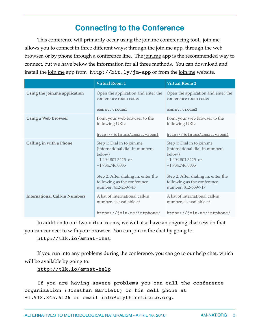# **Connecting to the Conference**

This conference will primarily occur using the <u>[join.me](http://join.me)</u> conferencing tool. *join.me* allows you to connect in three different ways: through the [join.me](http://join.me) app, through the web browser, or by phone through a conference line. The [join.me](http://join.me) app is the recommended way to connect, but we have below the information for all three methods. You can download and install the [join.me](http://join.me) app from <http://bit.ly/jm-app> or from the [join.me](http://join.me) website.

|                                      | <b>Virtual Room 1</b>                                                                                                                                                                                            | <b>Virtual Room 2</b>                                                                                                                                                                                            |
|--------------------------------------|------------------------------------------------------------------------------------------------------------------------------------------------------------------------------------------------------------------|------------------------------------------------------------------------------------------------------------------------------------------------------------------------------------------------------------------|
| Using the join.me application        | Open the application and enter the<br>conference room code:                                                                                                                                                      | Open the application and enter the<br>conference room code:                                                                                                                                                      |
|                                      | amnat.vrooml                                                                                                                                                                                                     | amnat.vroom2                                                                                                                                                                                                     |
| <b>Using a Web Browser</b>           | Point your web browser to the<br>following URL:                                                                                                                                                                  | Point your web browser to the<br>following URL:                                                                                                                                                                  |
|                                      | http://join.me/amnat.vroom1                                                                                                                                                                                      | http://join.me/amnat.vroom2                                                                                                                                                                                      |
| <b>Calling in with a Phone</b>       | Step 1: Dial in to join.me<br>(international dial-in numbers<br>below)<br>$+1.404.801.3225$ or<br>$+1.734.746.0035$<br>Step 2: After dialing in, enter the<br>following as the conference<br>number: 412-259-745 | Step 1: Dial in to join.me<br>(international dial-in numbers<br>below)<br>$+1.404.801.3225$ or<br>$+1.734.746.0035$<br>Step 2: After dialing in, enter the<br>following as the conference<br>number: 812-639-717 |
| <b>International Call-in Numbers</b> | A list of international call-in<br>numbers is available at                                                                                                                                                       | A list of international call-in<br>numbers is available at                                                                                                                                                       |
|                                      | https://join.me/intphone/                                                                                                                                                                                        | https://join.me/intphone/                                                                                                                                                                                        |

In addition to our two virtual rooms, we will also have an ongoing chat session that you can connect to with your browser. You can join in the chat by going to:

#### <http://tlk.io/amnat-chat>

If you run into any problems during the conference, you can go to our help chat, which will be available by going to:

<http://tlk.io/amnat-help>

If you are having severe problems you can call the conference organization (Jonathan Bartlett) on his cell phone at +1.918.845.6126 or email [info@blythinstitute.org](mailto:info@blythinstitute.org).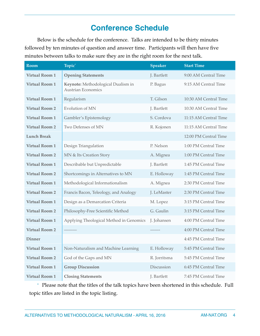# **Conference Schedule**

Below is the schedule for the conference. Talks are intended to be thirty minutes followed by ten minutes of question and answer time. Participants will then have five minutes between talks to make sure they are in the right room for the next talk.

| <b>Room</b>           | Topic <sup>*</sup>                                              | <b>Speaker</b> | <b>Start Time</b>     |
|-----------------------|-----------------------------------------------------------------|----------------|-----------------------|
| <b>Virtual Room 1</b> | <b>Opening Statements</b>                                       | J. Bartlett    | 9:00 AM Central Time  |
| <b>Virtual Room 1</b> | Keynote: Methodological Dualism in<br><b>Austrian Economics</b> | P. Bagus       | 9:15 AM Central Time  |
| <b>Virtual Room 1</b> | Regularism                                                      | T. Gilson      | 10:30 AM Central Time |
| <b>Virtual Room 2</b> | Evolution of MN                                                 | J. Bartlett    | 10:30 AM Central Time |
| <b>Virtual Room 1</b> | Gambler's Epistemology                                          | S. Cordova     | 11:15 AM Central Time |
| <b>Virtual Room 2</b> | Two Defenses of MN                                              | R. Kojonen     | 11:15 AM Central Time |
| <b>Lunch Break</b>    |                                                                 |                | 12:00 PM Central Time |
| <b>Virtual Room 1</b> | Design Triangulation                                            | P. Nelson      | 1:00 PM Central Time  |
| <b>Virtual Room 2</b> | MN & Its Creation Story                                         | A. Mignea      | 1:00 PM Central Time  |
| <b>Virtual Room 1</b> | Describable but Unpredictable                                   | J. Bartlett    | 1:45 PM Central Time  |
| <b>Virtual Room 2</b> | Shortcomings in Alternatives to MN                              | E. Holloway    | 1:45 PM Central Time  |
| <b>Virtual Room 1</b> | Methodological Informationalism                                 | A. Mignea      | 2:30 PM Central Time  |
| <b>Virtual Room 2</b> | Francis Bacon, Teleology, and Analogy                           | J. LeMaster    | 2:30 PM Central Time  |
| <b>Virtual Room 1</b> | Design as a Demarcation Criteria                                | M. Lopez       | 3:15 PM Central Time  |
| <b>Virtual Room 2</b> | Philosophy-Free Scientific Method                               | G. Gaulin      | 3:15 PM Central Time  |
| <b>Virtual Room 1</b> | Applying Theological Method in Genomics                         | J. Johansen    | 4:00 PM Central Time  |
| <b>Virtual Room 2</b> |                                                                 |                | 4:00 PM Central Time  |
| <b>Dinner</b>         |                                                                 |                | 4:45 PM Central Time  |
| <b>Virtual Room 1</b> | Non-Naturalism and Machine Learning                             | E. Holloway    | 5:45 PM Central Time  |
| <b>Virtual Room 2</b> | God of the Gaps and MN                                          | R. Jorritsma   | 5:45 PM Central Time  |
| <b>Virtual Room 1</b> | <b>Group Discussion</b>                                         | Discussion     | 6:45 PM Central Time  |
| <b>Virtual Room 1</b> | <b>Closing Statements</b>                                       | J. Bartlett    | 7:45 PM Central Time  |

\* Please note that the titles of the talk topics have been shortened in this schedule. Full topic titles are listed in the topic listing.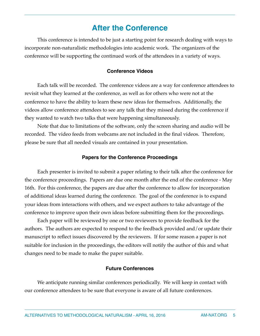# **After the Conference**

This conference is intended to be just a starting point for research dealing with ways to incorporate non-naturalistic methodologies into academic work. The organizers of the conference will be supporting the continued work of the attendees in a variety of ways.

#### **Conference Videos**

Each talk will be recorded. The conference videos are a way for conference attendees to revisit what they learned at the conference, as well as for others who were not at the conference to have the ability to learn these new ideas for themselves. Additionally, the videos allow conference attendees to see any talk that they missed during the conference if they wanted to watch two talks that were happening simultaneously.

Note that due to limitations of the software, only the screen sharing and audio will be recorded. The video feeds from webcams are not included in the final videos. Therefore, please be sure that all needed visuals are contained in your presentation.

#### **Papers for the Conference Proceedings**

Each presenter is invited to submit a paper relating to their talk after the conference for the conference proceedings. Papers are due one month after the end of the conference - May 16th. For this conference, the papers are due after the conference to allow for incorporation of additional ideas learned during the conference. The goal of the conference is to expand your ideas from interactions with others, and we expect authors to take advantage of the conference to improve upon their own ideas before submitting them for the proceedings.

Each paper will be reviewed by one or two reviewers to provide feedback for the authors. The authors are expected to respond to the feedback provided and/or update their manuscript to reflect issues discovered by the reviewers. If for some reason a paper is not suitable for inclusion in the proceedings, the editors will notify the author of this and what changes need to be made to make the paper suitable.

#### **Future Conferences**

We anticipate running similar conferences periodically. We will keep in contact with our conference attendees to be sure that everyone is aware of all future conferences.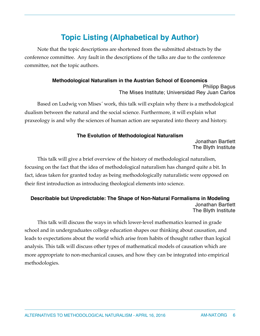# **Topic Listing (Alphabetical by Author)**

Note that the topic descriptions are shortened from the submitted abstracts by the conference committee. Any fault in the descriptions of the talks are due to the conference committee, not the topic authors.

# **Methodological Naturalism in the Austrian School of Economics**

Philipp Bagus The Mises Institute; Universidad Rey Juan Carlos

Based on Ludwig von Mises´ work, this talk will explain why there is a methodological dualism between the natural and the social science. Furthermore, it will explain what praxeology is and why the sciences of human action are separated into theory and history.

#### **The Evolution of Methodological Naturalism**

Jonathan Bartlett The Blyth Institute

This talk will give a brief overview of the history of methodological naturalism, focusing on the fact that the idea of methodological naturalism has changed quite a bit. In fact, ideas taken for granted today as being methodologically naturalistic were opposed on their first introduction as introducing theological elements into science.

#### **Describable but Unpredictable: The Shape of Non-Natural Formalisms in Modeling** Jonathan Bartlett The Blyth Institute

This talk will discuss the ways in which lower-level mathematics learned in grade school and in undergraduates college education shapes our thinking about causation, and leads to expectations about the world which arise from habits of thought rather than logical analysis. This talk will discuss other types of mathematical models of causation which are more appropriate to non-mechanical causes, and how they can be integrated into empirical methodologies.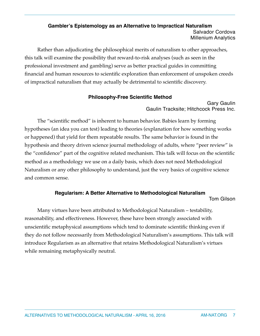#### **Gambler's Epistemology as an Alternative to Impractical Naturalism** Salvador Cordova Millenium Analytics

Rather than adjudicating the philosophical merits of naturalism to other approaches, this talk will examine the possibility that reward-to-risk analyses (such as seen in the professional investment and gambling) serve as better practical guides in committing financial and human resources to scientific exploration than enforcement of unspoken creeds of impractical naturalism that may actually be detrimental to scientific discovery.

### **Philosophy-Free Scientific Method**

Gary Gaulin Gaulin Tracksite; Hitchcock Press Inc.

The "scientific method" is inherent to human behavior. Babies learn by forming hypotheses (an idea you can test) leading to theories (explanation for how something works or happened) that yield for them repeatable results. The same behavior is found in the hypothesis and theory driven science journal methodology of adults, where "peer review" is the "confidence" part of the cognitive related mechanism. This talk will focus on the scientific method as a methodology we use on a daily basis, which does not need Methodological Naturalism or any other philosophy to understand, just the very basics of cognitive science and common sense.

# **Regularism: A Better Alternative to Methodological Naturalism**

Tom Gilson

Many virtues have been attributed to Methodological Naturalism – testability, reasonability, and effectiveness. However, these have been strongly associated with unscientific metaphysical assumptions which tend to dominate scientific thinking even if they do not follow necessarily from Methodological Naturalism's assumptions. This talk will introduce Regularism as an alternative that retains Methodological Naturalism's virtues while remaining metaphysically neutral.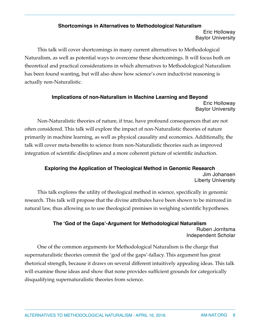#### **Shortcomings in Alternatives to Methodological Naturalism** Eric Holloway Baylor University

This talk will cover shortcomings in many current alternatives to Methodological Naturalism, as well as potential ways to overcome these shortcomings. It will focus both on theoretical and practical considerations in which alternatives to Methodological Naturalism has been found wanting, but will also show how science's own inductivist reasoning is actually non-Naturalistic.

#### **Implications of non-Naturalism in Machine Learning and Beyond** Eric Holloway Baylor University

Non-Naturalistic theories of nature, if true, have profound consequences that are not often considered. This talk will explore the impact of non-Naturalistic theories of nature primarily in machine learning, as well as physical causality and economics. Additionally, the talk will cover meta-benefits to science from non-Naturalistic theories such as improved integration of scientific disciplines and a more coherent picture of scientific induction.

### **Exploring the Application of Theological Method in Genomic Research** Jim Johansen Liberty University

This talk explores the utility of theological method in science, specifically in genomic research. This talk will propose that the divine attributes have been shown to be mirrored in natural law, thus allowing us to use theological premises in weighing scientific hypotheses.

#### **The 'God of the Gaps'-Argument for Methodological Naturalism** Ruben Jorritsma Independent Scholar

One of the common arguments for Methodological Naturalism is the charge that supernaturalistic theories commit the 'god of the gaps'-fallacy. This argument has great rhetorical strength, because it draws on several different intuitively appealing ideas. This talk will examine those ideas and show that none provides sufficient grounds for categorically disqualifying supernaturalistic theories from science.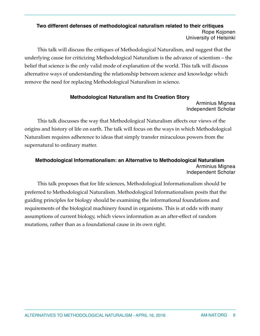#### **Two different defenses of methodological naturalism related to their critiques** Rope Kojonen University of Helsinki

This talk will discuss the critiques of Methodological Naturalism, and suggest that the underlying cause for criticizing Methodological Naturalism is the advance of scientism – the belief that science is the only valid mode of explanation of the world. This talk will discuss alternative ways of understanding the relationship between science and knowledge which remove the need for replacing Methodological Naturalism in science.

# **Methodological Naturalism and Its Creation Story**

Arminius Mignea Independent Scholar

This talk discusses the way that Methodological Naturalism affects our views of the origins and history of life on earth. The talk will focus on the ways in which Methodological Naturalism requires adherence to ideas that simply transfer miraculous powers from the supernatural to ordinary matter.

### **Methodological Informationalism: an Alternative to Methodological Naturalism** Arminius Mignea Independent Scholar

This talk proposes that for life sciences, Methodological Informationalism should be preferred to Methodological Naturalism. Methodological Informationalism posits that the guiding principles for biology should be examining the informational foundations and requirements of the biological machinery found in organisms. This is at odds with many assumptions of current biology, which views information as an after-effect of random mutations, rather than as a foundational cause in its own right.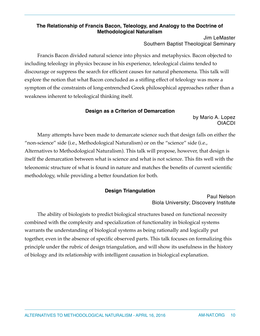### **The Relationship of Francis Bacon, Teleology, and Analogy to the Doctrine of Methodological Naturalism**

Jim LeMaster Southern Baptist Theological Seminary

Francis Bacon divided natural science into physics and metaphysics. Bacon objected to including teleology in physics because in his experience, teleological claims tended to discourage or suppress the search for efficient causes for natural phenomena. This talk will explore the notion that what Bacon concluded as a stifling effect of teleology was more a symptom of the constraints of long-entrenched Greek philosophical approaches rather than a weakness inherent to teleological thinking itself.

### **Design as a Criterion of Demarcation**

by Mario A. Lopez OIACDI

Many attempts have been made to demarcate science such that design falls on either the "non-science" side (i.e., Methodological Naturalism) or on the "science" side (i.e., Alternatives to Methodological Naturalism). This talk will propose, however, that design is itself the demarcation between what is science and what is not science. This fits well with the teleonomic structure of what is found in nature and matches the benefits of current scientific methodology, while providing a better foundation for both.

# **Design Triangulation**

Paul Nelson Biola University; Discovery Institute

The ability of biologists to predict biological structures based on functional necessity combined with the complexity and specialization of functionality in biological systems warrants the understanding of biological systems as being rationally and logically put together, even in the absence of specific observed parts. This talk focuses on formalizing this principle under the rubric of design triangulation, and will show its usefulness in the history of biology and its relationship with intelligent causation in biological explanation.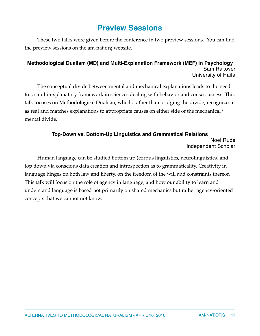# **Preview Sessions**

These two talks were given before the conference in two preview sessions. You can find the preview sessions on the <u>am-nat.org</u> website.

### **Methodological Dualism (MD) and Multi-Explanation Framework (MEF) in Psychology** Sam Rakover University of Haifa

The conceptual divide between mental and mechanical explanations leads to the need for a multi-explanatory framework in sciences dealing with behavior and consciousness. This talk focuses on Methodological Dualism, which, rather than bridging the divide, recognizes it as real and matches explanations to appropriate causes on either side of the mechanical/ mental divide.

### **Top-Down vs. Bottom-Up Linguistics and Grammatical Relations** Noel Rude Independent Scholar

Human language can be studied bottom up (corpus linguistics, neurolinguistics) and top down via conscious data creation and introspection as to grammaticality. Creativity in language hinges on both law and liberty, on the freedom of the will and constraints thereof. This talk will focus on the role of agency in language, and how our ability to learn and understand language is based not primarily on shared mechanics but rather agency-oriented concepts that we cannot not know.